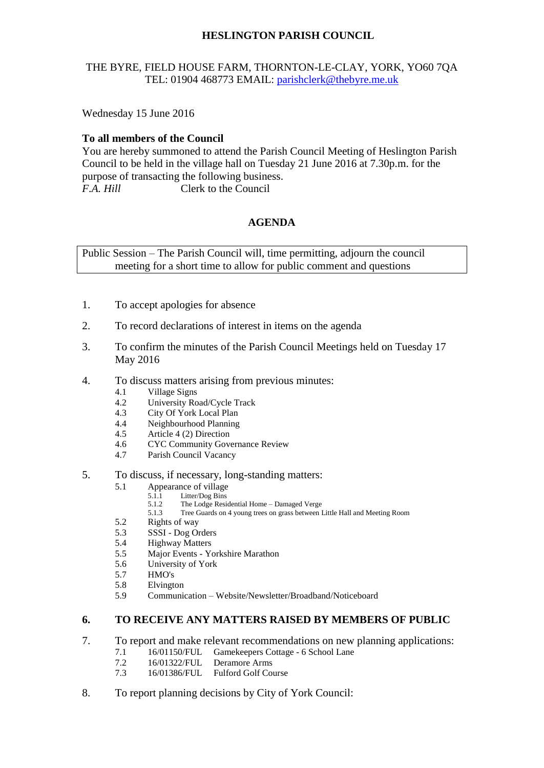# **HESLINGTON PARISH COUNCIL**

## THE BYRE, FIELD HOUSE FARM, THORNTON-LE-CLAY, YORK, YO60 7QA TEL: 01904 468773 EMAIL: [parishclerk@thebyre.me.uk](mailto:parishclerk@thebyre.me.uk)

Wednesday 15 June 2016

## **To all members of the Council**

You are hereby summoned to attend the Parish Council Meeting of Heslington Parish Council to be held in the village hall on Tuesday 21 June 2016 at 7.30p.m. for the purpose of transacting the following business. *F.A. Hill* Clerk to the Council

# **AGENDA**

Public Session – The Parish Council will, time permitting, adjourn the council meeting for a short time to allow for public comment and questions

- 1. To accept apologies for absence
- 2. To record declarations of interest in items on the agenda
- 3. To confirm the minutes of the Parish Council Meetings held on Tuesday 17 May 2016
- 4. To discuss matters arising from previous minutes:
	- 4.1 Village Signs
	- 4.2 University Road/Cycle Track
	- 4.3 City Of York Local Plan<br>4.4 Neighbourhood Planning
	- 4.4 Neighbourhood Planning<br>4.5 Article 4 (2) Direction
	- Article 4 (2) Direction
	- 4.6 CYC Community Governance Review
	- 4.7 Parish Council Vacancy
- 5. To discuss, if necessary, long-standing matters:
	- 5.1 Appearance of village
		- 5.1.1 Litter/Dog Bins<br>5.1.2 The Lodge Resid
		- 5.1.2 The Lodge Residential Home Damaged Verge 5.1.3 Tree Guards on 4 young trees on grass between
		- Tree Guards on 4 young trees on grass between Little Hall and Meeting Room
	- 5.2 Rights of way
	- 5.3 SSSI Dog Orders
	- 5.4 Highway Matters
	- 5.5 Major Events Yorkshire Marathon
	- 5.6 University of York
	- 5.7 HMO's
	- 5.8 Elvington
	- 5.9 Communication Website/Newsletter/Broadband/Noticeboard

#### **6. TO RECEIVE ANY MATTERS RAISED BY MEMBERS OF PUBLIC**

- 7. To report and make relevant recommendations on new planning applications:
	- 7.1 16/01150/FUL Gamekeepers Cottage 6 School Lane
		- 7.2 16/01322/FUL Deramore Arms
		- 7.3 16/01386/FUL Fulford Golf Course
- 8. To report planning decisions by City of York Council: